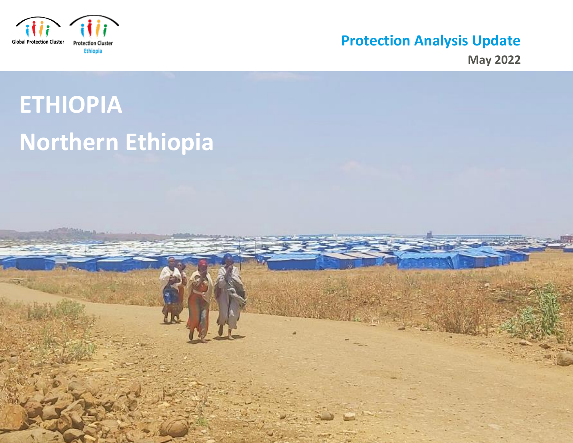

# **Protection Analysis Update**

**May 2022** 

# **ETHIOPIA Northern Ethiopia**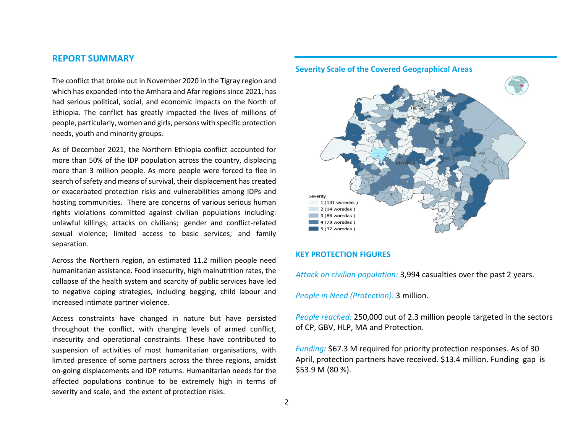# **REPORT SUMMARY**

The conflict that broke out in November 2020 in the Tigray region and which has expanded into the Amhara and Afar regions since 2021, has had serious political, social, and economic impacts on the North of Ethiopia. The conflict has greatly impacted the lives of millions of people, particularly, women and girls, persons with specific protection needs, youth and minority groups.

As of December 2021, the Northern Ethiopia conflict accounted for more than 50% of the IDP population across the country, displacing more than 3 million people. As more people were forced to flee in search of safety and means of survival, their displacement has created or exacerbated protection risks and vulnerabilities among IDPs and hosting communities. There are concerns of various serious human rights violations committed against civilian populations including: unlawful killings; attacks on civilians; gender and conflict-related sexual violence; limited access to basic services; and family separation.

Across the Northern region, an estimated 11.2 million people need humanitarian assistance. Food insecurity, high malnutrition rates, the collapse of the health system and scarcity of public services have led to negative coping strategies, including begging, child labour and increased intimate partner violence.

Access constraints have changed in nature but have persisted throughout the conflict, with changing levels of armed conflict, insecurity and operational constraints. These have contributed to suspension of activities of most humanitarian organisations, with limited presence of some partners across the three regions, amidst on-going displacements and IDP returns. Humanitarian needs for the affected populations continue to be extremely high in terms of severity and scale, and the extent of protection risks.



# **Severity Scale of the Covered Geographical Areas**

#### **KEY PROTECTION FIGURES**

*Attack on civilian population:* 3,994 casualties over the past 2 years.

*People in Need (Protection):* 3 million.

*People reached:* 250,000 out of 2.3 million people targeted in the sectors of CP, GBV, HLP, MA and Protection.

*Funding:* \$67.3 M required for priority protection responses. As of 30 April, protection partners have received. \$13.4 million. Funding gap is \$53.9 M (80 %).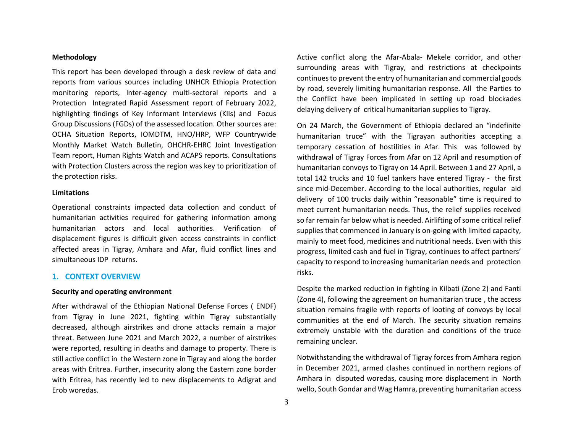#### **Methodology**

This report has been developed through a desk review of data and reports from various sources including UNHCR Ethiopia Protection monitoring reports, Inter-agency multi-sectoral reports and a Protection Integrated Rapid Assessment report of February 2022, highlighting findings of Key Informant Interviews (KIIs) and Focus Group Discussions (FGDs) of the assessed location. Other sources are: OCHA Situation Reports, IOMDTM, HNO/HRP, WFP Countrywide Monthly Market Watch Bulletin, OHCHR-EHRC Joint Investigation Team report, Human Rights Watch and ACAPS reports. Consultations with Protection Clusters across the region was key to prioritization of the protection risks.

#### **Limitations**

Operational constraints impacted data collection and conduct of humanitarian activities required for gathering information among humanitarian actors and local authorities. Verification of displacement figures is difficult given access constraints in conflict affected areas in Tigray, Amhara and Afar, fluid conflict lines and simultaneous IDP returns.

#### **1. CONTEXT OVERVIEW**

#### **Security and operating environment**

After withdrawal of the Ethiopian National Defense Forces ( ENDF) from Tigray in June 2021, fighting within Tigray substantially decreased, although airstrikes and drone attacks remain a major threat. Between June 2021 and March 2022, a number of airstrikes were reported, resulting in deaths and damage to property. There is still active conflict in the Western zone in Tigray and along the border areas with Eritrea. Further, insecurity along the Eastern zone border with Eritrea, has recently led to new displacements to Adigrat and Erob woredas.

Active conflict along the Afar-Abala- Mekele corridor, and other surrounding areas with Tigray, and restrictions at checkpoints continues to prevent the entry of humanitarian and commercial goods by road, severely limiting humanitarian response. All the Parties to the Conflict have been implicated in setting up road blockades delaying delivery of critical humanitarian supplies to Tigray.

On 24 March, the Government of Ethiopia declared an "indefinite humanitarian truce" with the Tigrayan authorities accepting a temporary cessation of hostilities in Afar. This was followed by withdrawal of Tigray Forces from Afar on 12 April and resumption of humanitarian convoys to Tigray on 14 April. Between 1 and 27 April, a total 142 trucks and 10 fuel tankers have entered Tigray - the first since mid-December. According to the local authorities, regular aid delivery of 100 trucks daily within "reasonable" time is required to meet current humanitarian needs. Thus, the relief supplies received so far remain far below what is needed. Airlifting of some critical relief supplies that commenced in January is on-going with limited capacity, mainly to meet food, medicines and nutritional needs. Even with this progress, limited cash and fuel in Tigray, continues to affect partners' capacity to respond to increasing humanitarian needs and protection risks.

Despite the marked reduction in fighting in Kilbati (Zone 2) and Fanti (Zone 4), following the agreement on humanitarian truce , the access situation remains fragile with reports of looting of convoys by local communities at the end of March. The security situation remains extremely unstable with the duration and conditions of the truce remaining unclear.

Notwithstanding the withdrawal of Tigray forces from Amhara region in December 2021, armed clashes continued in northern regions of Amhara in disputed woredas, causing more displacement in North wello, South Gondar and Wag Hamra, preventing humanitarian access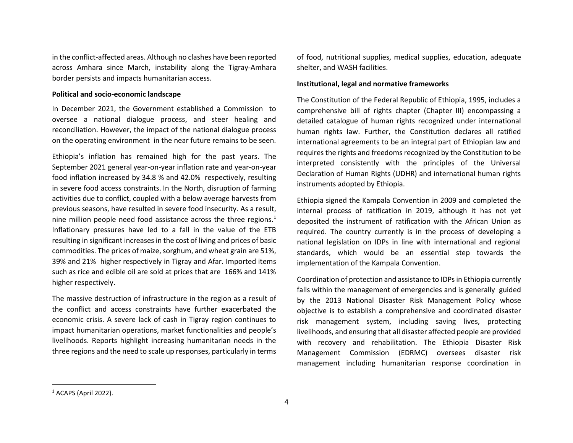in the conflict-affected areas. Although no clashes have been reported across Amhara since March, instability along the Tigray-Amhara border persists and impacts humanitarian access.

#### **Political and socio-economic landscape**

In December 2021, the Government established a Commission to oversee a national dialogue process, and steer healing and reconciliation. However, the impact of the national dialogue process on the operating environment in the near future remains to be seen.

Ethiopia's inflation has remained high for the past years. The September 2021 general year-on-year inflation rate and year-on-year food inflation increased by 34.8 % and 42.0% respectively, resulting in severe food access constraints. In the North, disruption of farming activities due to conflict, coupled with a below average harvests from previous seasons, have resulted in severe food insecurity. As a result, nine million people need food assistance across the three regions. $<sup>1</sup>$ </sup> Inflationary pressures have led to a fall in the value of the ETB resulting in significant increases in the cost of living and prices of basic commodities. The prices of maize, sorghum, and wheat grain are 51%, 39% and 21% higher respectively in Tigray and Afar. Imported items such as rice and edible oil are sold at prices that are 166% and 141% higher respectively.

The massive destruction of infrastructure in the region as a result of the conflict and access constraints have further exacerbated the economic crisis. A severe lack of cash in Tigray region continues to impact humanitarian operations, market functionalities and people's livelihoods. Reports highlight increasing humanitarian needs in the three regions and the need to scale up responses, particularly in terms

of food, nutritional supplies, medical supplies, education, adequate shelter, and WASH facilities.

#### **Institutional, legal and normative frameworks**

The Constitution of the Federal Republic of Ethiopia, 1995, includes a comprehensive bill of rights chapter (Chapter III) encompassing a detailed catalogue of human rights recognized under international human rights law. Further, the Constitution declares all ratified international agreements to be an integral part of Ethiopian law and requires the rights and freedoms recognized by the Constitution to be interpreted consistently with the principles of the Universal Declaration of Human Rights (UDHR) and international human rights instruments adopted by Ethiopia.

Ethiopia signed the Kampala Convention in 2009 and completed the internal process of ratification in 2019, although it has not yet deposited the instrument of ratification with the African Union as required. The country currently is in the process of developing a national legislation on IDPs in line with international and regional standards, which would be an essential step towards the implementation of the Kampala Convention.

Coordination of protection and assistance to IDPsin Ethiopia currently falls within the management of emergencies and is generally guided by the 2013 National Disaster Risk Management Policy whose objective is to establish a comprehensive and coordinated disaster risk management system, including saving lives, protecting livelihoods, and ensuring that all disaster affected people are provided with recovery and rehabilitation. The Ethiopia Disaster Risk Management Commission (EDRMC) oversees disaster risk management including humanitarian response coordination in

 $<sup>1</sup>$  ACAPS (April 2022).</sup>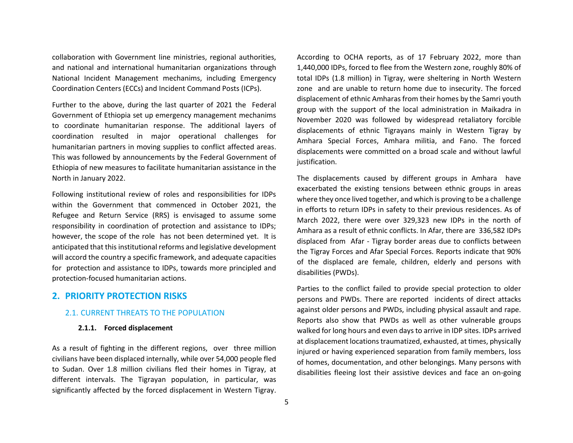collaboration with Government line ministries, regional authorities, and national and international humanitarian organizations through National Incident Management mechanims, including Emergency Coordination Centers (ECCs) and Incident Command Posts (ICPs).

Further to the above, during the last quarter of 2021 the Federal Government of Ethiopia set up emergency management mechanims to coordinate humanitarian response. The additional layers of coordination resulted in major operational challenges for humanitarian partners in moving supplies to conflict affected areas. This was followed by announcements by the Federal Government of Ethiopia of new measures to facilitate humanitarian assistance in the North in January 2022.

Following institutional review of roles and responsibilities for IDPs within the Government that commenced in October 2021, the Refugee and Return Service (RRS) is envisaged to assume some responsibility in coordination of protection and assistance to IDPs; however, the scope of the role has not been determined yet. It is anticipated that this institutional reforms and legislative development will accord the country a specific framework, and adequate capacities for protection and assistance to IDPs, towards more principled and protection-focused humanitarian actions.

# **2. PRIORITY PROTECTION RISKS**

# 2.1. CURRENT THREATS TO THE POPULATION

#### **2.1.1. Forced displacement**

As a result of fighting in the different regions, over three million civilians have been displaced internally, while over 54,000 people fled to Sudan. Over 1.8 million civilians fled their homes in Tigray, at different intervals. The Tigrayan population, in particular, was significantly affected by the forced displacement in Western Tigray.

According to OCHA reports, as of 17 February 2022, more than 1,440,000 IDPs, forced to flee from the Western zone, roughly 80% of total IDPs (1.8 million) in Tigray, were sheltering in North Western zone and are unable to return home due to insecurity. The forced displacement of ethnic Amharas from their homes by the Samri youth group with the support of the local administration in Maikadra in November 2020 was followed by widespread retaliatory forcible displacements of ethnic Tigrayans mainly in Western Tigray by Amhara Special Forces, Amhara militia, and Fano. The forced displacements were committed on a broad scale and without lawful justification.

The displacements caused by different groups in Amhara have exacerbated the existing tensions between ethnic groups in areas where they once lived together, and which is proving to be a challenge in efforts to return IDPs in safety to their previous residences. As of March 2022, there were over 329,323 new IDPs in the north of Amhara as a result of ethnic conflicts. In Afar, there are 336,582 IDPs displaced from Afar - Tigray border areas due to conflicts between the Tigray Forces and Afar Special Forces. Reports indicate that 90% of the displaced are female, children, elderly and persons with disabilities (PWDs).

Parties to the conflict failed to provide special protection to older persons and PWDs. There are reported incidents of direct attacks against older persons and PWDs, including physical assault and rape. Reports also show that PWDs as well as other vulnerable groups walked for long hours and even days to arrive in IDP sites. IDPs arrived at displacement locations traumatized, exhausted, at times, physically injured or having experienced separation from family members, loss of homes, documentation, and other belongings. Many persons with disabilities fleeing lost their assistive devices and face an on-going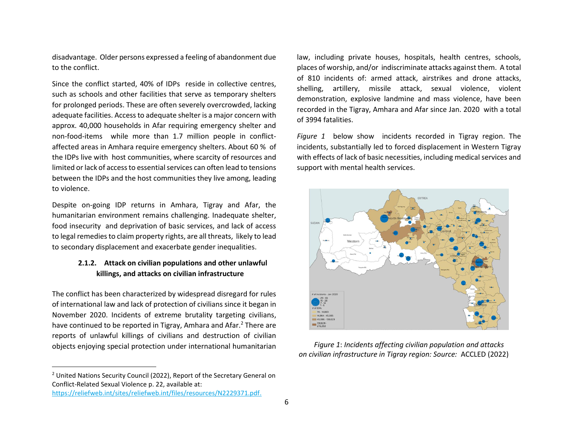disadvantage. Older persons expressed a feeling of abandonment due to the conflict.

Since the conflict started, 40% of IDPs reside in collective centres, such as schools and other facilities that serve as temporary shelters for prolonged periods. These are often severely overcrowded, lacking adequate facilities. Access to adequate shelter is a major concern with approx. 40,000 households in Afar requiring emergency shelter and non-food-items while more than 1.7 million people in conflictaffected areas in Amhara require emergency shelters. About 60 % of the IDPs live with host communities, where scarcity of resources and limited or lack of access to essential services can often lead to tensions between the IDPs and the host communities they live among, leading to violence.

Despite on-going IDP returns in Amhara, Tigray and Afar, the humanitarian environment remains challenging. Inadequate shelter, food insecurity and deprivation of basic services, and lack of access to legal remedies to claim property rights, are all threats, likely to lead to secondary displacement and exacerbate gender inequalities.

# **2.1.2. Attack on civilian populations and other unlawful killings, and attacks on civilian infrastructure**

The conflict has been characterized by widespread disregard for rules of international law and lack of protection of civilians since it began in November 2020. Incidents of extreme brutality targeting civilians, have continued to be reported in Tigray, Amhara and Afar.<sup>2</sup> There are reports of unlawful killings of civilians and destruction of civilian objects enjoying special protection under international humanitarian

<sup>2</sup> United Nations Security Council (2022), Report of the Secretary General on Conflict-Related Sexual Violence p. 22, available at:

[https://reliefweb.int/sites/reliefweb.int/files/resources/N2229371.pdf.](https://reliefweb.int/sites/reliefweb.int/files/resources/N2229371.pdf)

law, including private houses, hospitals, health centres, schools, places of worship, and/or indiscriminate attacks against them. A total of 810 incidents of: armed attack, airstrikes and drone attacks, shelling, artillery, missile attack, sexual violence, violent demonstration, explosive landmine and mass violence, have been recorded in the Tigray, Amhara and Afar since Jan. 2020 with a total of 3994 fatalities.

*Figure 1* below show incidents recorded in Tigray region. The incidents, substantially led to forced displacement in Western Tigray with effects of lack of basic necessities, including medical services and support with mental health services.



*Figure 1*: *Incidents affecting civilian population and attacks on civilian infrastructure in Tigray region: Source:* ACCLED (2022)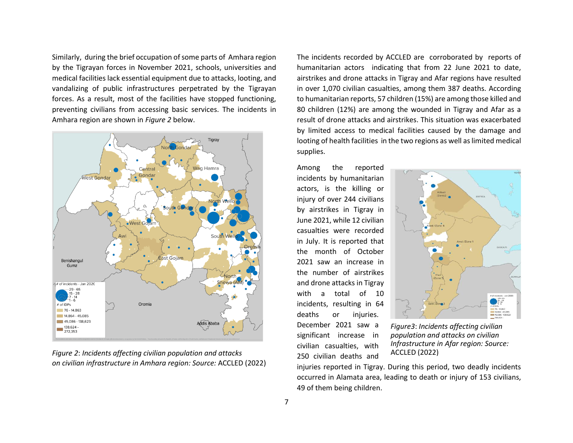Similarly, during the brief occupation of some parts of Amhara region by the Tigrayan forces in November 2021, schools, universities and medical facilities lack essential equipment due to attacks, looting, and vandalizing of public infrastructures perpetrated by the Tigrayan forces. As a result, most of the facilities have stopped functioning, preventing civilians from accessing basic services. The incidents in Amhara region are shown in *Figure 2* below.



*Figure 2*: *Incidents affecting civilian population and attacks on civilian infrastructure in Amhara region: Source:* ACCLED (2022)

The incidents recorded by ACCLED are corroborated by reports of humanitarian actors indicating that from 22 June 2021 to date, airstrikes and drone attacks in Tigray and Afar regions have resulted in over 1,070 civilian casualties, among them 387 deaths. According to humanitarian reports, 57 children (15%) are among those killed and 80 children (12%) are among the wounded in Tigray and Afar as a result of drone attacks and airstrikes. This situation was exacerbated by limited access to medical facilities caused by the damage and looting of health facilities in the two regions as well as limited medical supplies.

Among the reported incidents by humanitarian actors, is the killing or injury of over 244 civilians by airstrikes in Tigray in June 2021, while 12 civilian casualties were recorded in July. It is reported that the month of October 2021 saw an increase in the number of airstrikes and drone attacks in Tigray with a total of 10 incidents, resulting in 64 deaths or injuries. December 2021 saw a significant increase in civilian casualties, with 250 civilian deaths and



*Figure3*: *Incidents affecting civilian population and attacks on civilian Infrastructure in Afar region: Source:* ACCLED (2022)

injuries reported in Tigray. During this period, two deadly incidents occurred in Alamata area, leading to death or injury of 153 civilians, 49 of them being children.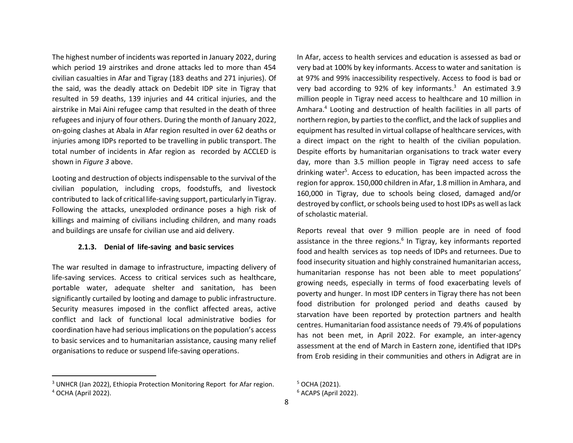The highest number of incidents was reported in January 2022, during which period 19 airstrikes and drone attacks led to more than 454 civilian casualties in Afar and Tigray (183 deaths and 271 injuries). Of the said, was the deadly attack on Dedebit IDP site in Tigray that resulted in 59 deaths, 139 injuries and 44 critical injuries, and the airstrike in Mai Aini refugee camp that resulted in the death of three refugees and injury of four others. During the month of January 2022, on-going clashes at Abala in Afar region resulted in over 62 deaths or injuries among IDPs reported to be travelling in public transport. The total number of incidents in Afar region as recorded by ACCLED is shown in *Figure 3* above.

Looting and destruction of objects indispensable to the survival of the civilian population, including crops, foodstuffs, and livestock contributed to lack of critical life-saving support, particularly in Tigray. Following the attacks, unexploded ordinance poses a high risk of killings and maiming of civilians including children, and many roads and buildings are unsafe for civilian use and aid delivery.

#### **2.1.3. Denial of life-saving and basic services**

The war resulted in damage to infrastructure, impacting delivery of life-saving services. Access to critical services such as healthcare, portable water, adequate shelter and sanitation, has been significantly curtailed by looting and damage to public infrastructure. Security measures imposed in the conflict affected areas, active conflict and lack of functional local administrative bodies for coordination have had serious implications on the population's access to basic services and to humanitarian assistance, causing many relief organisations to reduce or suspend life-saving operations.

In Afar, access to health services and education is assessed as bad or very bad at 100% by key informants. Access to water and sanitation is at 97% and 99% inaccessibility respectively. Access to food is bad or very bad according to 92% of key informants. <sup>3</sup> An estimated 3.9 million people in Tigray need access to healthcare and 10 million in Amhara.<sup>4</sup> Looting and destruction of health facilities in all parts of northern region, by parties to the conflict, and the lack of supplies and equipment has resulted in virtual collapse of healthcare services, with a direct impact on the right to health of the civilian population. Despite efforts by humanitarian organisations to track water every day, more than 3.5 million people in Tigray need access to safe drinking water<sup>5</sup>. Access to education, has been impacted across the region for approx. 150,000 children in Afar, 1.8 million in Amhara, and 160,000 in Tigray, due to schools being closed, damaged and/or destroyed by conflict, or schools being used to host IDPs as well as lack of scholastic material.

Reports reveal that over 9 million people are in need of food assistance in the three regions.<sup>6</sup> In Tigray, key informants reported food and health services as top needs of IDPs and returnees. Due to food insecurity situation and highly constrained humanitarian access, humanitarian response has not been able to meet populations' growing needs, especially in terms of food exacerbating levels of poverty and hunger. In most IDP centers in Tigray there has not been food distribution for prolonged period and deaths caused by starvation have been reported by protection partners and health centres. Humanitarian food assistance needs of 79.4% of populations has not been met, in April 2022. For example, an inter-agency assessment at the end of March in Eastern zone, identified that IDPs from Erob residing in their communities and others in Adigrat are in

<sup>&</sup>lt;sup>3</sup> UNHCR (Jan 2022), Ethiopia Protection Monitoring Report for Afar region. <sup>4</sup> OCHA (April 2022).

<sup>5</sup> OCHA (2021). <sup>6</sup> ACAPS (April 2022).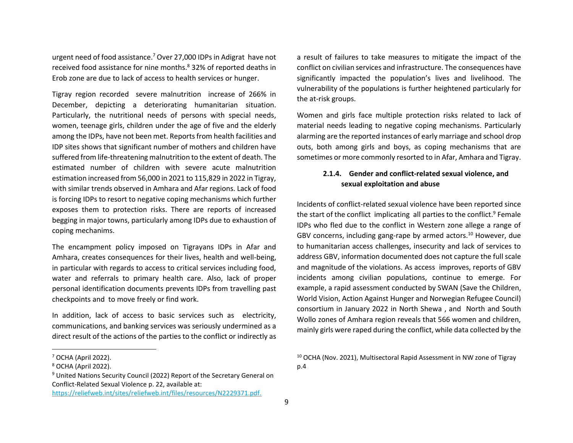urgent need of food assistance.<sup>7</sup> Over 27,000 IDPs in Adigrat have not received food assistance for nine months.<sup>8</sup> 32% of reported deaths in Erob zone are due to lack of access to health services or hunger.

Tigray region recorded severe malnutrition increase of 266% in December, depicting a deteriorating humanitarian situation. Particularly, the nutritional needs of persons with special needs, women, teenage girls, children under the age of five and the elderly among the IDPs, have not been met. Reports from health facilities and IDP sites shows that significant number of mothers and children have suffered from life-threatening malnutrition to the extent of death. The estimated number of children with severe acute malnutrition estimation increased from 56,000 in 2021 to 115,829 in 2022 in Tigray, with similar trends observed in Amhara and Afar regions. Lack of food is forcing IDPs to resort to negative coping mechanisms which further exposes them to protection risks. There are reports of increased begging in major towns, particularly among IDPs due to exhaustion of coping mechanims.

The encampment policy imposed on Tigrayans IDPs in Afar and Amhara, creates consequences for their lives, health and well-being, in particular with regards to access to critical services including food, water and referrals to primary health care. Also, lack of proper personal identification documents prevents IDPs from travelling past checkpoints and to move freely or find work.

In addition, lack of access to basic services such as electricity, communications, and banking services was seriously undermined as a direct result of the actions of the parties to the conflict or indirectly as

[https://reliefweb.int/sites/reliefweb.int/files/resources/N2229371.pdf.](https://reliefweb.int/sites/reliefweb.int/files/resources/N2229371.pdf)

a result of failures to take measures to mitigate the impact of the conflict on civilian services and infrastructure. The consequences have significantly impacted the population's lives and livelihood. The vulnerability of the populations is further heightened particularly for the at-risk groups.

Women and girls face multiple protection risks related to lack of material needs leading to negative coping mechanisms. Particularly alarming are the reported instances of early marriage and school drop outs, both among girls and boys, as coping mechanisms that are sometimes or more commonly resorted to in Afar, Amhara and Tigray.

# **2.1.4. Gender and conflict-related sexual violence, and sexual exploitation and abuse**

Incidents of conflict-related sexual violence have been reported since the start of the conflict implicating all parties to the conflict.<sup>9</sup> Female IDPs who fled due to the conflict in Western zone allege a range of GBV concerns, including gang-rape by armed actors.<sup>10</sup> However, due to humanitarian access challenges, insecurity and lack of services to address GBV, information documented does not capture the full scale and magnitude of the violations. As access improves, reports of GBV incidents among civilian populations, continue to emerge. For example, a rapid assessment conducted by SWAN (Save the Children, World Vision, Action Against Hunger and Norwegian Refugee Council) consortium in January 2022 in North Shewa , and North and South Wollo zones of Amhara region reveals that 566 women and children, mainly girls were raped during the conflict, while data collected by the

 $<sup>7</sup>$  OCHA (April 2022).</sup>

<sup>8</sup> OCHA (April 2022).

<sup>&</sup>lt;sup>9</sup> United Nations Security Council (2022) Report of the Secretary General on Conflict-Related Sexual Violence p. 22, available at:

<sup>10</sup> OCHA (Nov. 2021), Multisectoral Rapid Assessment in NW zone of Tigray p.4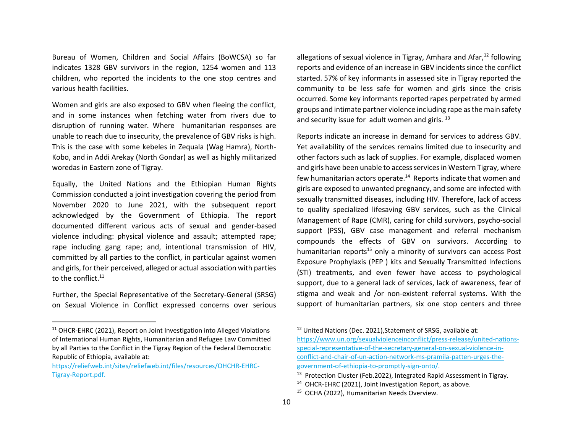Bureau of Women, Children and Social Affairs (BoWCSA) so far indicates 1328 GBV survivors in the region, 1254 women and 113 children, who reported the incidents to the one stop centres and various health facilities.

Women and girls are also exposed to GBV when fleeing the conflict, and in some instances when fetching water from rivers due to disruption of running water. Where humanitarian responses are unable to reach due to insecurity, the prevalence of GBV risks is high. This is the case with some kebeles in Zequala (Wag Hamra), North-Kobo, and in Addi Arekay (North Gondar) as well as highly militarized woredas in Eastern zone of Tigray.

Equally, the United Nations and the Ethiopian Human Rights Commission conducted a joint investigation covering the period from November 2020 to June 2021, with the subsequent report acknowledged by the Government of Ethiopia. The report documented different various acts of sexual and gender-based violence including: physical violence and assault; attempted rape; rape including gang rape; and, intentional transmission of HIV, committed by all parties to the conflict, in particular against women and girls, for their perceived, alleged or actual association with parties to the conflict.<sup>11</sup>

Further, the Special Representative of the Secretary-General (SRSG) on Sexual Violence in Conflict expressed concerns over serious

allegations of sexual violence in Tigray, Amhara and Afar, <sup>12</sup> following reports and evidence of an increase in GBV incidents since the conflict started. 57% of key informants in assessed site in Tigray reported the community to be less safe for women and girls since the crisis occurred. Some key informants reported rapes perpetrated by armed groups and intimate partner violence including rape as the main safety and security issue for adult women and girls.<sup>13</sup>

Reports indicate an increase in demand for services to address GBV. Yet availability of the services remains limited due to insecurity and other factors such as lack of supplies. For example, displaced women and girls have been unable to access services in Western Tigray, where few humanitarian actors operate. $14$  Reports indicate that women and girls are exposed to unwanted pregnancy, and some are infected with sexually transmitted diseases, including HIV. Therefore, lack of access to quality specialized lifesaving GBV services, such as the Clinical Management of Rape (CMR), caring for child survivors, psycho-social support (PSS), GBV case management and referral mechanism compounds the effects of GBV on survivors. According to humanitarian reports<sup>15</sup> only a minority of survivors can access Post Exposure Prophylaxis (PEP ) kits and Sexually Transmitted Infections (STI) treatments, and even fewer have access to psychological support, due to a general lack of services, lack of awareness, fear of stigma and weak and /or non-existent referral systems. With the support of humanitarian partners, six one stop centers and three

<sup>12</sup> United Nations (Dec. 2021), Statement of SRSG, available at: [https://www.un.org/sexualviolenceinconflict/press-release/united-nations](https://www.un.org/sexualviolenceinconflict/press-release/united-nations-special-representative-of-the-secretary-general-on-sexual-violence-in-conflict-and-chair-of-un-action-network-ms-pramila-patten-urges-the-government-of-ethiopia-to-promptly-sign-onto/)[special-representative-of-the-secretary-general-on-sexual-violence-in](https://www.un.org/sexualviolenceinconflict/press-release/united-nations-special-representative-of-the-secretary-general-on-sexual-violence-in-conflict-and-chair-of-un-action-network-ms-pramila-patten-urges-the-government-of-ethiopia-to-promptly-sign-onto/)[conflict-and-chair-of-un-action-network-ms-pramila-patten-urges-the](https://www.un.org/sexualviolenceinconflict/press-release/united-nations-special-representative-of-the-secretary-general-on-sexual-violence-in-conflict-and-chair-of-un-action-network-ms-pramila-patten-urges-the-government-of-ethiopia-to-promptly-sign-onto/)[government-of-ethiopia-to-promptly-sign-onto/.](https://www.un.org/sexualviolenceinconflict/press-release/united-nations-special-representative-of-the-secretary-general-on-sexual-violence-in-conflict-and-chair-of-un-action-network-ms-pramila-patten-urges-the-government-of-ethiopia-to-promptly-sign-onto/)

15 OCHA (2022), Humanitarian Needs Overview.

<sup>&</sup>lt;sup>11</sup> OHCR-EHRC (2021), Report on Joint Investigation into Alleged Violations of International Human Rights, Humanitarian and Refugee Law Committed by all Parties to the Conflict in the Tigray Region of the Federal Democratic Republic of Ethiopia, available at:

[https://reliefweb.int/sites/reliefweb.int/files/resources/OHCHR-EHRC-](https://reliefweb.int/sites/reliefweb.int/files/resources/OHCHR-EHRC-Tigray-Report.pdf)[Tigray-Report.pdf.](https://reliefweb.int/sites/reliefweb.int/files/resources/OHCHR-EHRC-Tigray-Report.pdf)

<sup>&</sup>lt;sup>13</sup> Protection Cluster (Feb.2022), Integrated Rapid Assessment in Tigray.

<sup>&</sup>lt;sup>14</sup> OHCR-EHRC (2021), Joint Investigation Report, as above.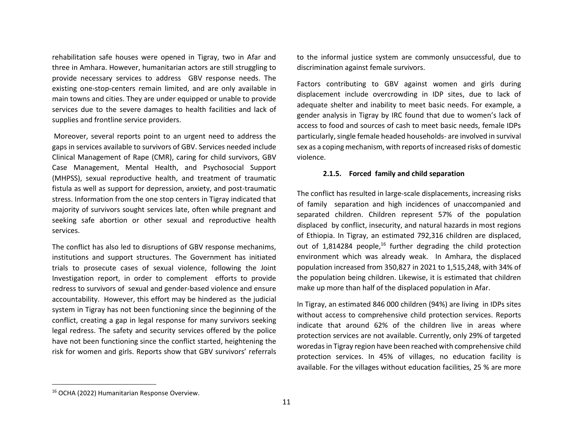rehabilitation safe houses were opened in Tigray, two in Afar and three in Amhara. However, humanitarian actors are still struggling to provide necessary services to address GBV response needs. The existing one-stop-centers remain limited, and are only available in main towns and cities. They are under equipped or unable to provide services due to the severe damages to health facilities and lack of supplies and frontline service providers.

Moreover, several reports point to an urgent need to address the gaps in services available to survivors of GBV. Services needed include Clinical Management of Rape (CMR), caring for child survivors, GBV Case Management, Mental Health, and Psychosocial Support (MHPSS), sexual reproductive health, and treatment of traumatic fistula as well as support for depression, anxiety, and post-traumatic stress. Information from the one stop centers in Tigray indicated that majority of survivors sought services late, often while pregnant and seeking safe abortion or other sexual and reproductive health services.

The conflict has also led to disruptions of GBV response mechanims, institutions and support structures. The Government has initiated trials to prosecute cases of sexual violence, following the Joint Investigation report, in order to complement efforts to provide redress to survivors of sexual and gender-based violence and ensure accountability. However, this effort may be hindered as the judicial system in Tigray has not been functioning since the beginning of the conflict, creating a gap in legal response for many survivors seeking legal redress. The safety and security services offered by the police have not been functioning since the conflict started, heightening the risk for women and girls. Reports show that GBV survivors' referrals to the informal justice system are commonly unsuccessful, due to discrimination against female survivors.

Factors contributing to GBV against women and girls during displacement include overcrowding in IDP sites, due to lack of adequate shelter and inability to meet basic needs. For example, a gender analysis in Tigray by IRC found that due to women's lack of access to food and sources of cash to meet basic needs, female IDPs particularly, single female headed households- are involved in survival sex as a coping mechanism, with reports of increased risks of domestic violence.

#### **2.1.5. Forced family and child separation**

The conflict has resulted in large-scale displacements, increasing risks of family separation and high incidences of unaccompanied and separated children. Children represent 57% of the population displaced by conflict, insecurity, and natural hazards in most regions of Ethiopia. In Tigray, an estimated 792,316 children are displaced, out of 1,814284 people,<sup>16</sup> further degrading the child protection environment which was already weak. In Amhara, the displaced population increased from 350,827 in 2021 to 1,515,248, with 34% of the population being children. Likewise, it is estimated that children make up more than half of the displaced population in Afar.

In Tigray, an estimated 846 000 children (94%) are living in IDPs sites without access to comprehensive child protection services. Reports indicate that around 62% of the children live in areas where protection services are not available. Currently, only 29% of targeted woredasin Tigray region have been reached with comprehensive child protection services. In 45% of villages, no education facility is available. For the villages without education facilities, 25 % are more

<sup>16</sup> OCHA (2022) Humanitarian Response Overview.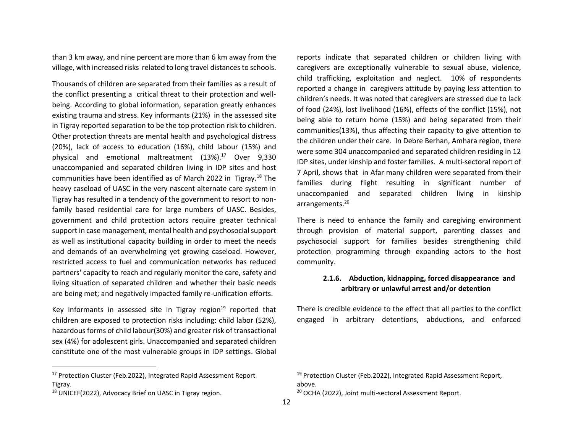than 3 km away, and nine percent are more than 6 km away from the village, with increased risks related to long travel distances to schools.

Thousands of children are separated from their families as a result of the conflict presenting a critical threat to their protection and wellbeing. According to global information, separation greatly enhances existing trauma and stress. Key informants (21%) in the assessed site in Tigray reported separation to be the top protection risk to children. Other protection threats are mental health and psychological distress (20%), lack of access to education (16%), child labour (15%) and physical and emotional maltreatment (13%). <sup>17</sup> Over 9,330 unaccompanied and separated children living in IDP sites and host communities have been identified as of March 2022 in Tigray.<sup>18</sup> The heavy caseload of UASC in the very nascent alternate care system in Tigray has resulted in a tendency of the government to resort to nonfamily based residential care for large numbers of UASC. Besides, government and child protection actors require greater technical support in case management, mental health and psychosocial support as well as institutional capacity building in order to meet the needs and demands of an overwhelming yet growing caseload. However, restricted access to fuel and communication networks has reduced partners' capacity to reach and regularly monitor the care, safety and living situation of separated children and whether their basic needs are being met; and negatively impacted family re-unification efforts.

Key informants in assessed site in Tigray region $19$  reported that children are exposed to protection risks including: child labor (52%), hazardous forms of child labour(30%) and greater risk of transactional sex (4%) for adolescent girls. Unaccompanied and separated children constitute one of the most vulnerable groups in IDP settings. Global

reports indicate that separated children or children living with caregivers are exceptionally vulnerable to sexual abuse, violence, child trafficking, exploitation and neglect. 10% of respondents reported a change in caregivers attitude by paying less attention to children's needs. It was noted that caregivers are stressed due to lack of food (24%), lost livelihood (16%), effects of the conflict (15%), not being able to return home (15%) and being separated from their communities(13%), thus affecting their capacity to give attention to the children under their care. In Debre Berhan, Amhara region, there were some 304 unaccompanied and separated children residing in 12 IDP sites, under kinship and foster families. A multi-sectoral report of 7 April, shows that in Afar many children were separated from their families during flight resulting in significant number of unaccompanied and separated children living in kinship arrangements.<sup>20</sup>

There is need to enhance the family and caregiving environment through provision of material support, parenting classes and psychosocial support for families besides strengthening child protection programming through expanding actors to the host community.

# **2.1.6. Abduction, kidnapping, forced disappearance and arbitrary or unlawful arrest and/or detention**

There is credible evidence to the effect that all parties to the conflict engaged in arbitrary detentions, abductions, and enforced

<sup>&</sup>lt;sup>17</sup> Protection Cluster (Feb.2022), Integrated Rapid Assessment Report Tigray.

<sup>18</sup> UNICEF(2022), Advocacy Brief on UASC in Tigray region.

<sup>&</sup>lt;sup>19</sup> Protection Cluster (Feb.2022), Integrated Rapid Assessment Report, above.

<sup>20</sup> OCHA (2022), Joint multi-sectoral Assessment Report.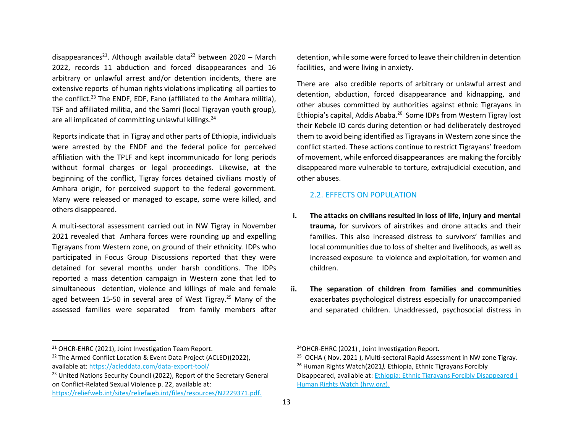disappearances<sup>21</sup>. Although available data<sup>22</sup> between 2020 – March 2022, records 11 abduction and forced disappearances and 16 arbitrary or unlawful arrest and/or detention incidents, there are extensive reports of human rights violations implicating all parties to the conflict.<sup>23</sup> The ENDF, EDF, Fano (affiliated to the Amhara militia), TSF and affiliated militia, and the Samri (local Tigrayan youth group), are all implicated of committing unlawful killings.<sup>24</sup>

Reports indicate that in Tigray and other parts of Ethiopia, individuals were arrested by the ENDF and the federal police for perceived affiliation with the TPLF and kept incommunicado for long periods without formal charges or legal proceedings. Likewise, at the beginning of the conflict, Tigray forces detained civilians mostly of Amhara origin, for perceived support to the federal government. Many were released or managed to escape, some were killed, and others disappeared.

A multi-sectoral assessment carried out in NW Tigray in November 2021 revealed that Amhara forces were rounding up and expelling Tigrayans from Western zone, on ground of their ethnicity. IDPs who participated in Focus Group Discussions reported that they were detained for several months under harsh conditions. The IDPs reported a mass detention campaign in Western zone that led to simultaneous detention, violence and killings of male and female aged between 15-50 in several area of West Tigray.<sup>25</sup> Many of the assessed families were separated from family members after detention, while some were forced to leave their children in detention facilities, and were living in anxiety.

There are also credible reports of arbitrary or unlawful arrest and detention, abduction, forced disappearance and kidnapping, and other abuses committed by authorities against ethnic Tigrayans in Ethiopia's capital, Addis Ababa.<sup>26</sup> Some IDPs from Western Tigray lost their Kebele ID cards during detention or had deliberately destroyed them to avoid being identified as Tigrayans in Western zone since the conflict started. These actions continue to restrict Tigrayans' freedom of movement, while enforced disappearances are making the forcibly disappeared more vulnerable to torture, extrajudicial execution, and other abuses.

# 2.2. EFFECTS ON POPULATION

- **i. The attacks on civilians resulted in loss of life, injury and mental trauma,** for survivors of airstrikes and drone attacks and their families. This also increased distress to survivors' families and local communities due to loss of shelter and livelihoods, as well as increased exposure to violence and exploitation, for women and children.
- **ii. The separation of children from families and communities** exacerbates psychological distress especially for unaccompanied and separated children. Unaddressed, psychosocial distress in

<sup>24</sup>OHCR-EHRC (2021) , Joint Investigation Report.

<sup>21</sup> OHCR-EHRC (2021), Joint Investigation Team Report.

<sup>&</sup>lt;sup>22</sup> The Armed Conflict Location & Event Data Project (ACLED)(2022), available at: <https://acleddata.com/data-export-tool/>

<sup>&</sup>lt;sup>23</sup> United Nations Security Council (2022), Report of the Secretary General on Conflict-Related Sexual Violence p. 22, available at:

[https://reliefweb.int/sites/reliefweb.int/files/resources/N2229371.pdf.](https://reliefweb.int/sites/reliefweb.int/files/resources/N2229371.pdf)

<sup>&</sup>lt;sup>25</sup> OCHA ( Nov. 2021 ), Multi-sectoral Rapid Assessment in NW zone Tigray. <sup>26</sup> Human Rights Watch(2021*),* Ethiopia, Ethnic Tigrayans Forcibly

Disappeared, available at[: Ethiopia: Ethnic Tigrayans Forcibly Disappeared |](https://www.hrw.org/news/2021/08/18/ethiopia-ethnic-tigrayans-forcibly-disappeared)  [Human Rights Watch \(hrw.org\).](https://www.hrw.org/news/2021/08/18/ethiopia-ethnic-tigrayans-forcibly-disappeared)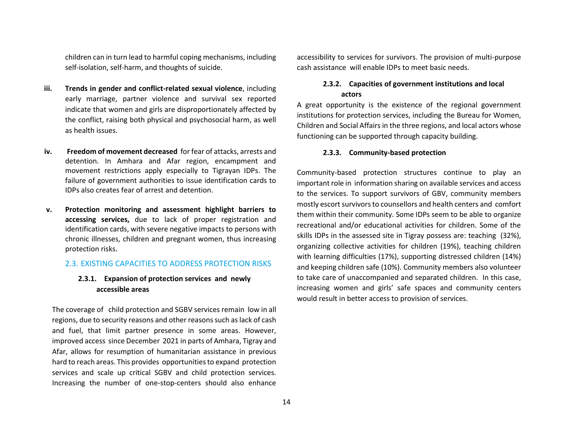children can in turn lead to harmful coping mechanisms, including self-isolation, self-harm, and thoughts of suicide.

- **iii. Trends in gender and conflict-related sexual violence**, including early marriage, partner violence and survival sex reported indicate that women and girls are disproportionately affected by the conflict, raising both physical and psychosocial harm, as well as health issues.
- **iv. Freedom of movement decreased** for fear of attacks, arrests and detention. In Amhara and Afar region, encampment and movement restrictions apply especially to Tigrayan IDPs. The failure of government authorities to issue identification cards to IDPs also creates fear of arrest and detention.
- **v. Protection monitoring and assessment highlight barriers to accessing services,** due to lack of proper registration and identification cards, with severe negative impacts to persons with chronic illnesses, children and pregnant women, thus increasing protection risks.

## 2.3. EXISTING CAPACITIES TO ADDRESS PROTECTION RISKS

# **2.3.1. Expansion of protection services and newly accessible areas**

The coverage of child protection and SGBV services remain low in all regions, due to security reasons and other reasons such as lack of cash and fuel, that limit partner presence in some areas. However, improved access since December 2021 in parts of Amhara, Tigray and Afar, allows for resumption of humanitarian assistance in previous hard to reach areas. This provides opportunities to expand protection services and scale up critical SGBV and child protection services. Increasing the number of one-stop-centers should also enhance

accessibility to services for survivors. The provision of multi-purpose cash assistance will enable IDPs to meet basic needs.

# **2.3.2. Capacities of government institutions and local actors**

A great opportunity is the existence of the regional government institutions for protection services, including the Bureau for Women, Children and Social Affairs in the three regions, and local actors whose functioning can be supported through capacity building.

#### **2.3.3. Community-based protection**

Community-based protection structures continue to play an important role in information sharing on available services and access to the services. To support survivors of GBV, community members mostly escort survivors to counsellors and health centers and comfort them within their community. Some IDPs seem to be able to organize recreational and/or educational activities for children. Some of the skills IDPs in the assessed site in Tigray possess are: teaching (32%), organizing collective activities for children (19%), teaching children with learning difficulties (17%), supporting distressed children (14%) and keeping children safe (10%). Community members also volunteer to take care of unaccompanied and separated children. In this case, increasing women and girls' safe spaces and community centers would result in better access to provision of services.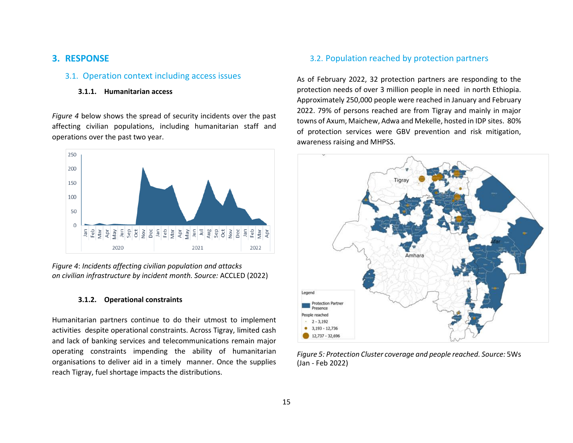# **3. RESPONSE**

# 3.1. Operation context including access issues

#### **3.1.1. Humanitarian access**

*Figure 4* below shows the spread of security incidents over the past affecting civilian populations, including humanitarian staff and operations over the past two year.



*Figure 4*: *Incidents affecting civilian population and attacks on civilian infrastructure by incident month. Source:* ACCLED (2022)

#### **3.1.2. Operational constraints**

Humanitarian partners continue to do their utmost to implement activities despite operational constraints. Across Tigray, limited cash and lack of banking services and telecommunications remain major operating constraints impending the ability of humanitarian organisations to deliver aid in a timely manner. Once the supplies reach Tigray, fuel shortage impacts the distributions.

# 3.2. Population reached by protection partners

As of February 2022, 32 protection partners are responding to the protection needs of over 3 million people in need in north Ethiopia. Approximately 250,000 people were reached in January and February 2022. 79% of persons reached are from Tigray and mainly in major towns of Axum, Maichew, Adwa and Mekelle, hosted in IDP sites. 80% of protection services were GBV prevention and risk mitigation, awareness raising and MHPSS.



*Figure 5: Protection Cluster coverage and people reached. Source:* 5Ws (Jan - Feb 2022)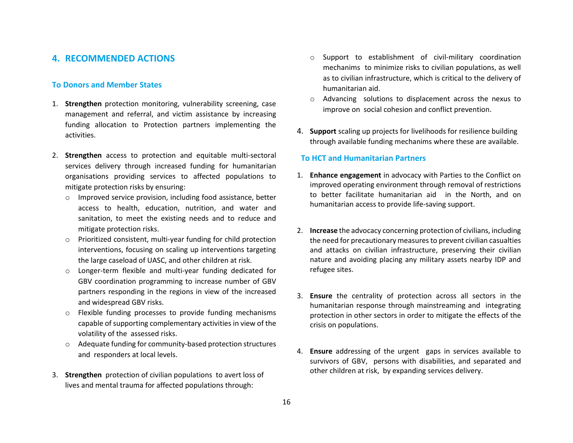# **4. RECOMMENDED ACTIONS**

# **To Donors and Member States**

- 1. **Strengthen** protection monitoring, vulnerability screening, case management and referral, and victim assistance by increasing funding allocation to Protection partners implementing the activities.
- 2. **Strengthen** access to protection and equitable multi-sectoral services delivery through increased funding for humanitarian organisations providing services to affected populations to mitigate protection risks by ensuring:
	- o Improved service provision, including food assistance, better access to health, education, nutrition, and water and sanitation, to meet the existing needs and to reduce and mitigate protection risks.
	- o Prioritized consistent, multi-year funding for child protection interventions, focusing on scaling up interventions targeting the large caseload of UASC, and other children at risk.
	- o Longer-term flexible and multi-year funding dedicated for GBV coordination programming to increase number of GBV partners responding in the regions in view of the increased and widespread GBV risks.
	- o Flexible funding processes to provide funding mechanisms capable of supporting complementary activities in view of the volatility of the assessed risks.
	- o Adequate funding for community-based protection structures and responders at local levels.
- 3. **Strengthen** protection of civilian populations to avert loss of lives and mental trauma for affected populations through:
- o Support to establishment of civil-military coordination mechanims to minimize risks to civilian populations, as well as to civilian infrastructure, which is critical to the delivery of humanitarian aid.
- o Advancing solutions to displacement across the nexus to improve on social cohesion and conflict prevention.
- 4. **Support** scaling up projects for livelihoods for resilience building through available funding mechanims where these are available.

## **To HCT and Humanitarian Partners**

- 1. **Enhance engagement** in advocacy with Parties to the Conflict on improved operating environment through removal of restrictions to better facilitate humanitarian aid in the North, and on humanitarian access to provide life-saving support.
- 2. **Increase** the advocacy concerning protection of civilians, including the need for precautionary measures to prevent civilian casualties and attacks on civilian infrastructure, preserving their civilian nature and avoiding placing any military assets nearby IDP and refugee sites.
- 3. **Ensure** the centrality of protection across all sectors in the humanitarian response through mainstreaming and integrating protection in other sectors in order to mitigate the effects of the crisis on populations.
- 4. **Ensure** addressing of the urgent gaps in services available to survivors of GBV, persons with disabilities, and separated and other children at risk, by expanding services delivery.